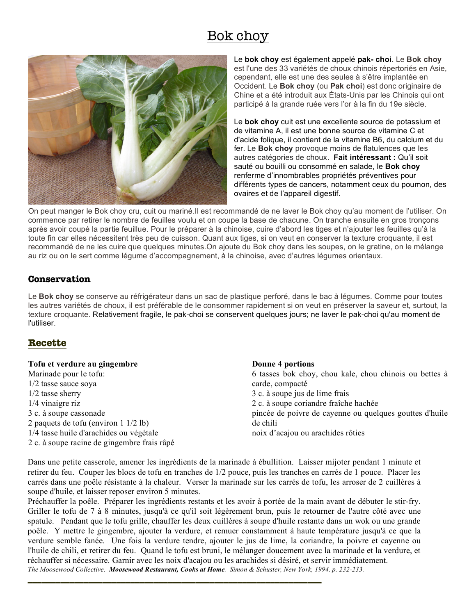# Bok choy



Le **bok choy** est également appelé **pak- choi**. Le **Bok choy** est l'une des 33 variétés de choux chinois répertoriés en Asie, cependant, elle est une des seules à s'être implantée en Occident. Le **Bok choy** (ou **Pak choi**) est donc originaire de Chine et a été introduit aux États-Unis par les Chinois qui ont participé à la grande ruée vers l'or à la fin du 19e siècle.

Le **bok choy** cuit est une excellente source de potassium et de vitamine A, il est une bonne source de vitamine C et d'acide folique, il contient de la vitamine B6, du calcium et du fer. Le **Bok choy** provoque moins de flatulences que les autres catégories de choux. **Fait intéressant :** Qu'il soit sauté ou bouilli ou consommé en salade, le **Bok choy** renferme d'innombrables propriétés préventives pour différents types de cancers, notamment ceux du poumon, des ovaires et de l'appareil digestif.

On peut manger le Bok choy cru, cuit ou mariné.Il est recommandé de ne laver le Bok choy qu'au moment de l'utiliser. On commence par retirer le nombre de feuilles voulu et on coupe la base de chacune. On tranche ensuite en gros tronçons après avoir coupé la partie feuillue. Pour le préparer à la chinoise, cuire d'abord les tiges et n'ajouter les feuilles qu'à la toute fin car elles nécessitent très peu de cuisson. Quant aux tiges, si on veut en conserver la texture croquante, il est recommandé de ne les cuire que quelques minutes.On ajoute du Bok choy dans les soupes, on le gratine, on le mélange au riz ou on le sert comme légume d'accompagnement, à la chinoise, avec d'autres légumes orientaux.

## **Conservation**

Le **Bok choy** se conserve au réfrigérateur dans un sac de plastique perforé, dans le bac à légumes. Comme pour toutes les autres variétés de choux, il est préférable de le consommer rapidement si on veut en préserver la saveur et, surtout, la texture croquante. Relativement fragile, le pak-choi se conservent quelques jours; ne laver le pak-choi qu'au moment de l'utiliser.

# **Recette**

| Tofu et verdure au gingembre                   | Donne 4 portions                                        |
|------------------------------------------------|---------------------------------------------------------|
| Marinade pour le tofu:                         | 6 tasses bok choy, chou kale, chou chinois ou bettes à  |
| $1/2$ tasse sauce soya                         | carde, compacté                                         |
| $1/2$ tasse sherry                             | 3 c. à soupe jus de lime frais                          |
| $1/4$ vinaigre riz                             | 2 c. à soupe coriandre fraîche hachée                   |
| 3 c. à soupe cassonade                         | pincée de poivre de cayenne ou quelques gouttes d'huile |
| 2 paquets de tofu (environ $1 \frac{1}{2}$ lb) | de chili                                                |
| 1/4 tasse huile d'arachides ou végétale        | noix d'acajou ou arachides rôties                       |
| 2 c. à soupe racine de gingembre frais râpé    |                                                         |

Dans une petite casserole, amener les ingrédients de la marinade à ébullition. Laisser mijoter pendant 1 minute et retirer du feu. Couper les blocs de tofu en tranches de 1/2 pouce, puis les tranches en carrés de 1 pouce. Placer les carrés dans une poêle résistante à la chaleur. Verser la marinade sur les carrés de tofu, les arroser de 2 cuillères à soupe d'huile, et laisser reposer environ 5 minutes.

Préchauffer la poêle. Préparer les ingrédients restants et les avoir à portée de la main avant de débuter le stir-fry. Griller le tofu de 7 à 8 minutes, jusqu'à ce qu'il soit légèrement brun, puis le retourner de l'autre côté avec une spatule. Pendant que le tofu grille, chauffer les deux cuillères à soupe d'huile restante dans un wok ou une grande poêle. Y mettre le gingembre, ajouter la verdure, et remuer constamment à haute température jusqu'à ce que la verdure semble fanée. Une fois la verdure tendre, ajouter le jus de lime, la coriandre, la poivre et cayenne ou l'huile de chili, et retirer du feu. Quand le tofu est bruni, le mélanger doucement avec la marinade et la verdure, et réchauffer si nécessaire. Garnir avec les noix d'acajou ou les arachides si désiré, et servir immédiatement. *The Moosewood Collective. Moosewood Restaurant, Cooks at Home. Simon & Schuster, New York, 1994. p. 232-233.*

**\_\_\_\_\_\_\_\_\_\_\_\_\_\_\_\_\_\_\_\_\_\_\_\_\_\_\_\_\_\_\_\_\_\_\_\_\_\_\_\_\_\_\_\_\_\_\_\_\_\_\_\_\_\_\_\_\_\_\_\_\_\_\_**